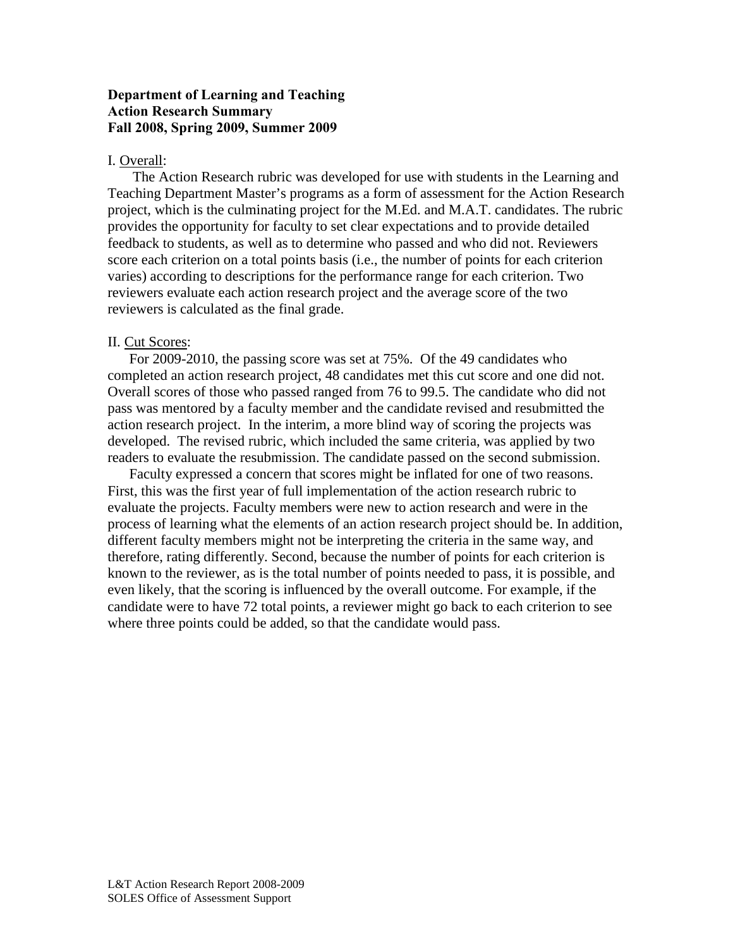## **Department of Learning and Teaching Action Research Summary Fall 2008, Spring 2009, Summer 2009**

#### I. Overall:

 The Action Research rubric was developed for use with students in the Learning and Teaching Department Master's programs as a form of assessment for the Action Research project, which is the culminating project for the M.Ed. and M.A.T. candidates. The rubric provides the opportunity for faculty to set clear expectations and to provide detailed feedback to students, as well as to determine who passed and who did not. Reviewers score each criterion on a total points basis (i.e., the number of points for each criterion varies) according to descriptions for the performance range for each criterion. Two reviewers evaluate each action research project and the average score of the two reviewers is calculated as the final grade.

#### II. Cut Scores:

For 2009-2010, the passing score was set at 75%. Of the 49 candidates who completed an action research project, 48 candidates met this cut score and one did not. Overall scores of those who passed ranged from 76 to 99.5. The candidate who did not pass was mentored by a faculty member and the candidate revised and resubmitted the action research project. In the interim, a more blind way of scoring the projects was developed. The revised rubric, which included the same criteria, was applied by two readers to evaluate the resubmission. The candidate passed on the second submission.

Faculty expressed a concern that scores might be inflated for one of two reasons. First, this was the first year of full implementation of the action research rubric to evaluate the projects. Faculty members were new to action research and were in the process of learning what the elements of an action research project should be. In addition, different faculty members might not be interpreting the criteria in the same way, and therefore, rating differently. Second, because the number of points for each criterion is known to the reviewer, as is the total number of points needed to pass, it is possible, and even likely, that the scoring is influenced by the overall outcome. For example, if the candidate were to have 72 total points, a reviewer might go back to each criterion to see where three points could be added, so that the candidate would pass.